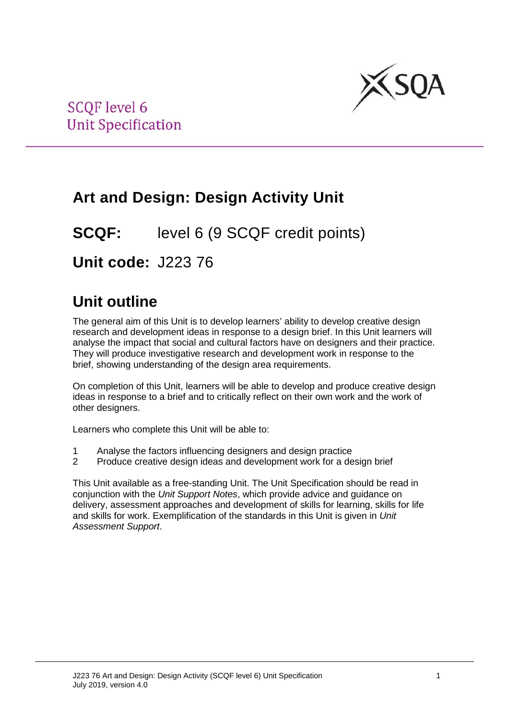

# **Art and Design: Design Activity Unit**

**SCQF:** level 6 (9 SCQF credit points)

**Unit code:** J223 76

# **Unit outline**

The general aim of this Unit is to develop learners' ability to develop creative design research and development ideas in response to a design brief. In this Unit learners will analyse the impact that social and cultural factors have on designers and their practice. They will produce investigative research and development work in response to the brief, showing understanding of the design area requirements.

On completion of this Unit, learners will be able to develop and produce creative design ideas in response to a brief and to critically reflect on their own work and the work of other designers.

Learners who complete this Unit will be able to:

- 1 Analyse the factors influencing designers and design practice
- 2 Produce creative design ideas and development work for a design brief

This Unit available as a free-standing Unit. The Unit Specification should be read in conjunction with the *Unit Support Notes*, which provide advice and guidance on delivery, assessment approaches and development of skills for learning, skills for life and skills for work. Exemplification of the standards in this Unit is given in *Unit Assessment Support*.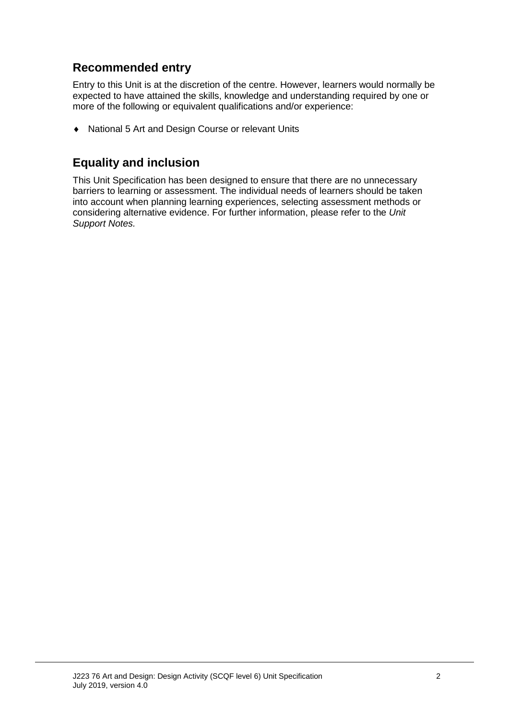## **Recommended entry**

Entry to this Unit is at the discretion of the centre. However, learners would normally be expected to have attained the skills, knowledge and understanding required by one or more of the following or equivalent qualifications and/or experience:

♦ National 5 Art and Design Course or relevant Units

### **Equality and inclusion**

This Unit Specification has been designed to ensure that there are no unnecessary barriers to learning or assessment. The individual needs of learners should be taken into account when planning learning experiences, selecting assessment methods or considering alternative evidence. For further information, please refer to the *Unit Support Notes.*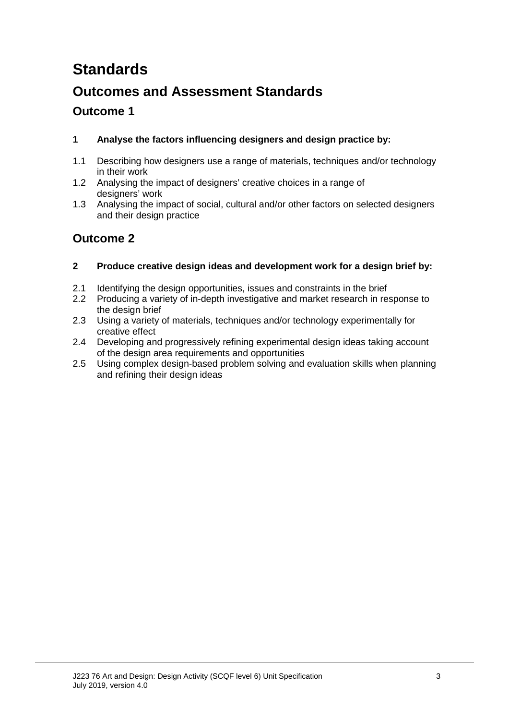# **Standards**

## **Outcomes and Assessment Standards**

### **Outcome 1**

#### **1 Analyse the factors influencing designers and design practice by:**

- 1.1 Describing how designers use a range of materials, techniques and/or technology in their work
- 1.2 Analysing the impact of designers' creative choices in a range of designers' work
- 1.3 Analysing the impact of social, cultural and/or other factors on selected designers and their design practice

### **Outcome 2**

#### **2 Produce creative design ideas and development work for a design brief by:**

- 2.1 Identifying the design opportunities, issues and constraints in the brief
- 2.2 Producing a variety of in-depth investigative and market research in response to the design brief
- 2.3 Using a variety of materials, techniques and/or technology experimentally for creative effect
- 2.4 Developing and progressively refining experimental design ideas taking account of the design area requirements and opportunities
- 2.5 Using complex design-based problem solving and evaluation skills when planning and refining their design ideas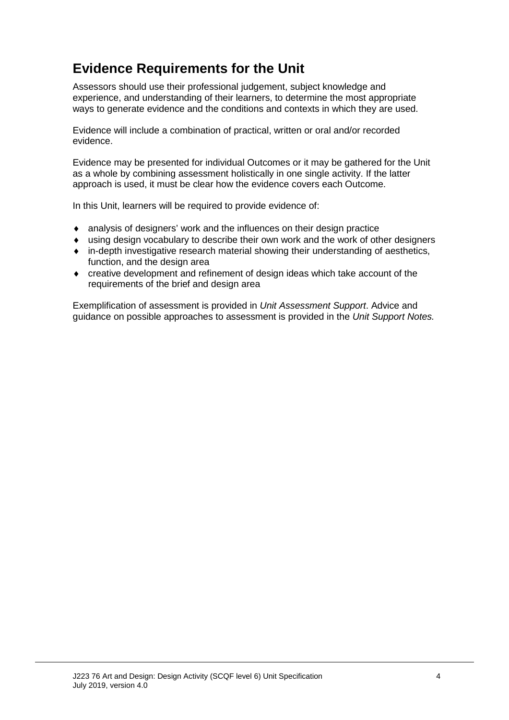## **Evidence Requirements for the Unit**

Assessors should use their professional judgement, subject knowledge and experience, and understanding of their learners, to determine the most appropriate ways to generate evidence and the conditions and contexts in which they are used.

Evidence will include a combination of practical, written or oral and/or recorded evidence.

Evidence may be presented for individual Outcomes or it may be gathered for the Unit as a whole by combining assessment holistically in one single activity. If the latter approach is used, it must be clear how the evidence covers each Outcome.

In this Unit, learners will be required to provide evidence of:

- ♦ analysis of designers' work and the influences on their design practice
- ♦ using design vocabulary to describe their own work and the work of other designers
- ♦ in-depth investigative research material showing their understanding of aesthetics, function, and the design area
- ♦ creative development and refinement of design ideas which take account of the requirements of the brief and design area

Exemplification of assessment is provided in *Unit Assessment Support*. Advice and guidance on possible approaches to assessment is provided in the *Unit Support Notes.*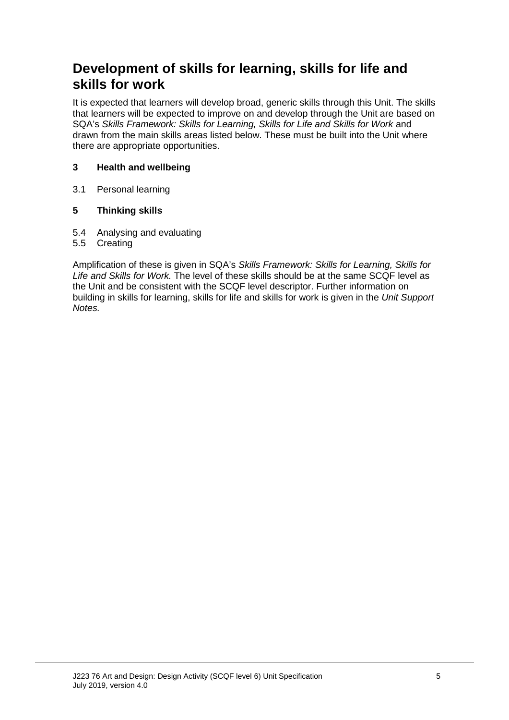## **Development of skills for learning, skills for life and skills for work**

It is expected that learners will develop broad, generic skills through this Unit. The skills that learners will be expected to improve on and develop through the Unit are based on SQA's *Skills Framework: Skills for Learning, Skills for Life and Skills for Work* and drawn from the main skills areas listed below. These must be built into the Unit where there are appropriate opportunities.

#### **3 Health and wellbeing**

3.1 Personal learning

#### **5 Thinking skills**

- 5.4 Analysing and evaluating
- 5.5 Creating

Amplification of these is given in SQA's *Skills Framework: Skills for Learning, Skills for Life and Skills for Work.* The level of these skills should be at the same SCQF level as the Unit and be consistent with the SCQF level descriptor. Further information on building in skills for learning, skills for life and skills for work is given in the *Unit Support Notes.*